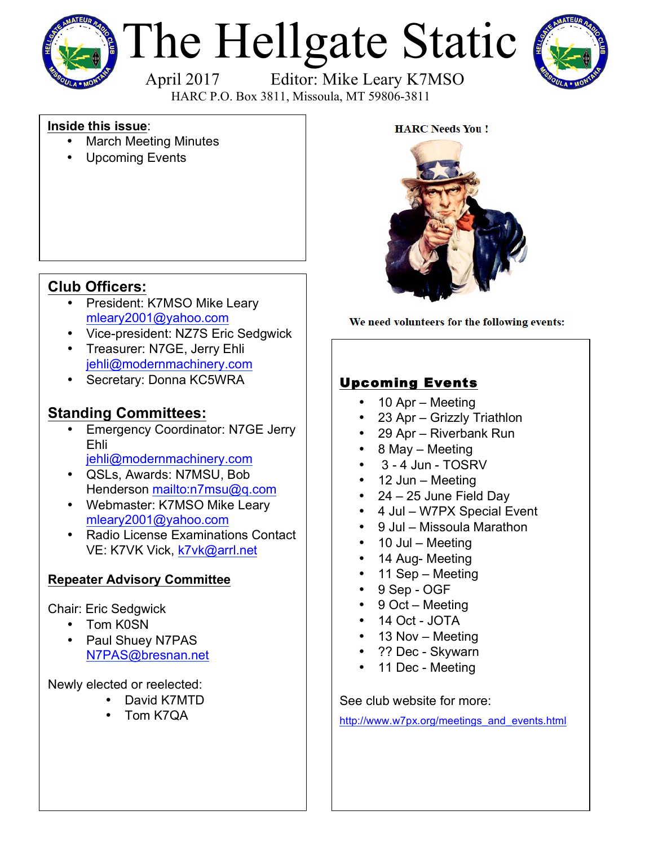

# The Hellgate Static



April 2017 Editor: Mike Leary K7MSO

HARC P.O. Box 3811, Missoula, MT 59806-3811

#### **Inside this issue**:

- March Meeting Minutes
- Upcoming Events

#### **Club Officers:**

- President: K7MSO Mike Leary mleary2001@yahoo.com
- Vice-president: NZ7S Eric Sedgwick
- Treasurer: N7GE, Jerry Ehli jehli@modernmachinery.com
- Secretary: Donna KC5WRA

#### **Standing Committees:**

- Emergency Coordinator: N7GE Jerry Ehli jehli@modernmachinery.com
- QSLs, Awards: N7MSU, Bob Henderson mailto:n7msu@q.com
- Webmaster: K7MSO Mike Leary mleary2001@yahoo.com
- Radio License Examinations Contact VE: K7VK Vick, k7vk@arrl.net

#### **Repeater Advisory Committee**

#### Chair: Eric Sedgwick

- Tom K0SN
- Paul Shuey N7PAS N7PAS@bresnan.net

Newly elected or reelected:

- David K7MTD
	- Tom K7QA



We need volunteers for the following events:

#### Upcoming Events

- 10 Apr Meeting
- 23 Apr Grizzly Triathlon
- 29 Apr Riverbank Run
- 8 May Meeting
- 3 4 Jun TOSRV
- 12 Jun Meeting
- $\cdot$  24 25 June Field Day
- 4 Jul W7PX Special Event
- 9 Jul Missoula Marathon
- 10 Jul Meeting
- 14 Aug- Meeting
- 11 Sep Meeting
- 9 Sep OGF
- 9 Oct Meeting
- 14 Oct JOTA
- 13 Nov Meeting
- ?? Dec Skywarn
- 11 Dec Meeting

See club website for more:

http://www.w7px.org/meetings\_and\_events.html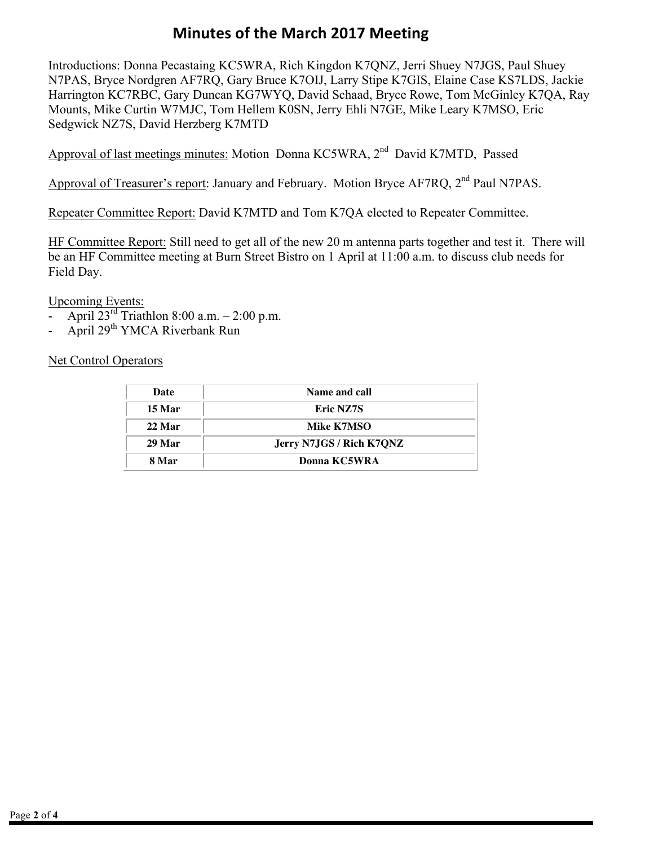#### **Minutes of the March 2017 Meeting**

Introductions: Donna Pecastaing KC5WRA, Rich Kingdon K7QNZ, Jerri Shuey N7JGS, Paul Shuey N7PAS, Bryce Nordgren AF7RQ, Gary Bruce K7OIJ, Larry Stipe K7GIS, Elaine Case KS7LDS, Jackie Harrington KC7RBC, Gary Duncan KG7WYQ, David Schaad, Bryce Rowe, Tom McGinley K7QA, Ray Mounts, Mike Curtin W7MJC, Tom Hellem K0SN, Jerry Ehli N7GE, Mike Leary K7MSO, Eric Sedgwick NZ7S, David Herzberg K7MTD

Approval of last meetings minutes: Motion Donna KC5WRA, 2nd David K7MTD, Passed

Approval of Treasurer's report: January and February. Motion Bryce AF7RQ, 2<sup>nd</sup> Paul N7PAS.

Repeater Committee Report: David K7MTD and Tom K7QA elected to Repeater Committee.

HF Committee Report: Still need to get all of the new 20 m antenna parts together and test it. There will be an HF Committee meeting at Burn Street Bistro on 1 April at 11:00 a.m. to discuss club needs for Field Day.

Upcoming Events:

- April  $23^{rd}$  Triathlon 8:00 a.m.  $2:00$  p.m.
- April 29<sup>th</sup> YMCA Riverbank Run

Net Control Operators

| Date     | Name and call            |
|----------|--------------------------|
| 15 Mar   | <b>Eric NZ7S</b>         |
| $22$ Mar | <b>Mike K7MSO</b>        |
| 29 Mar   | Jerry N7JGS / Rich K7QNZ |
| 8 Mar    | Donna KC5WRA             |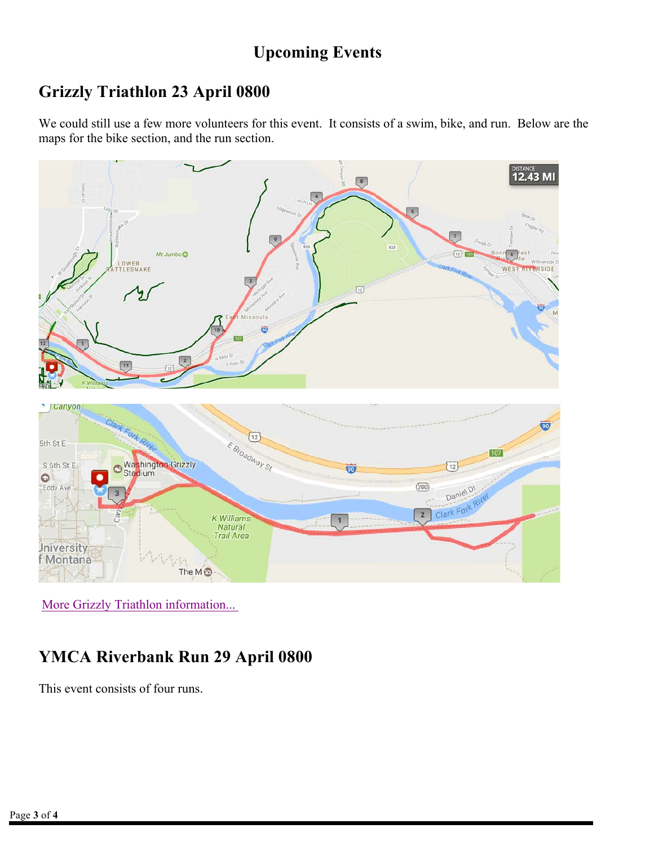#### **Grizzly Triathlon 23 April 0800**

We could still use a few more volunteers for this event. It consists of a swim, bike, and run. Below are the maps for the bike section, and the run section.



More Grizzly Triathlon information...

#### **YMCA Riverbank Run 29 April 0800**

This event consists of four runs.